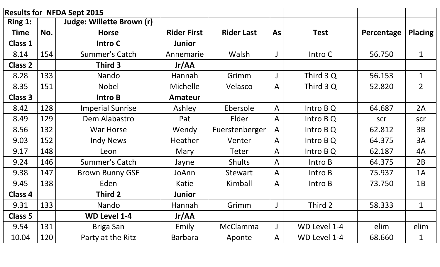| <b>Results for NFDA Sept 2015</b> |     |                           |                    |                   |              |              |            |                |
|-----------------------------------|-----|---------------------------|--------------------|-------------------|--------------|--------------|------------|----------------|
| Ring 1:                           |     | Judge: Willette Brown (r) |                    |                   |              |              |            |                |
| <b>Time</b>                       | No. | <b>Horse</b>              | <b>Rider First</b> | <b>Rider Last</b> | As           | <b>Test</b>  | Percentage | Placing        |
| <b>Class 1</b>                    |     | <b>Intro C</b>            | Junior             |                   |              |              |            |                |
| 8.14                              | 154 | <b>Summer's Catch</b>     | Annemarie          | Walsh             |              | Intro C      | 56.750     | $\mathbf 1$    |
| <b>Class 2</b>                    |     | Third 3                   | Jr/AA              |                   |              |              |            |                |
| 8.28                              | 133 | Nando                     | Hannah             | Grimm             |              | Third 3 Q    | 56.153     | $\mathbf{1}$   |
| 8.35                              | 151 | <b>Nobel</b>              | <b>Michelle</b>    | Velasco           | $\mathsf{A}$ | Third 3 Q    | 52.820     | 2 <sup>1</sup> |
| <b>Class 3</b>                    |     | Intro B                   | <b>Amateur</b>     |                   |              |              |            |                |
| 8.42                              | 128 | <b>Imperial Sunrise</b>   | Ashley             | Ebersole          | $\mathsf{A}$ | Intro B Q    | 64.687     | 2A             |
| 8.49                              | 129 | Dem Alabastro             | Pat                | Elder             | $\mathsf{A}$ | Intro B Q    | scr        | scr            |
| 8.56                              | 132 | <b>War Horse</b>          | Wendy              | Fuerstenberger    | $\mathsf{A}$ | Intro $BQ$   | 62.812     | 3B             |
| 9.03                              | 152 | <b>Indy News</b>          | Heather            | Venter            | $\mathsf{A}$ | Intro $BQ$   | 64.375     | 3A             |
| 9.17                              | 148 | Leon                      | Mary               | Teter             | $\mathsf{A}$ | Intro B Q    | 62.187     | 4A             |
| 9.24                              | 146 | <b>Summer's Catch</b>     | Jayne              | <b>Shults</b>     | $\mathsf{A}$ | Intro B      | 64.375     | 2B             |
| 9.38                              | 147 | <b>Brown Bunny GSF</b>    | JoAnn              | <b>Stewart</b>    | $\mathsf{A}$ | Intro B      | 75.937     | 1A             |
| 9.45                              | 138 | Eden                      | Katie              | Kimball           | $\mathsf{A}$ | Intro B      | 73.750     | 1B             |
| <b>Class 4</b>                    |     | Third 2                   | Junior             |                   |              |              |            |                |
| 9.31                              | 133 | Nando                     | Hannah             | Grimm             |              | Third 2      | 58.333     | ı              |
| <b>Class 5</b>                    |     | <b>WD Level 1-4</b>       | Jr/AA              |                   |              |              |            |                |
| 9.54                              | 131 | Briga San                 | Emily              | McClamma          |              | WD Level 1-4 | elim       | elim           |
| 10.04                             | 120 | Party at the Ritz         | Barbara            | Aponte            | $\mathsf{A}$ | WD Level 1-4 | 68.660     | 1              |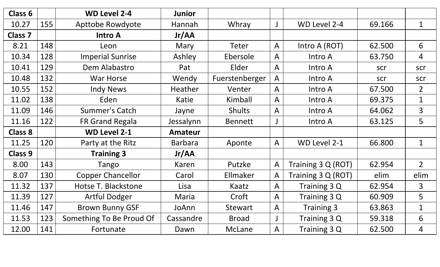| Class 6        |     | <b>WD Level 2-4</b>      | <b>Junior</b>  |                |                |                    |        |                |
|----------------|-----|--------------------------|----------------|----------------|----------------|--------------------|--------|----------------|
| 10.27          | 155 | Apttobe Rowdyote         | Hannah         | Whray          |                | WD Level 2-4       | 69.166 | $\mathbf 1$    |
| <b>Class 7</b> |     | <b>Intro A</b>           | Jr/AA          |                |                |                    |        |                |
| 8.21           | 148 | Leon                     | Mary           | Teter          | $\overline{A}$ | Intro A (ROT)      | 62.500 | 6              |
| 10.34          | 128 | <b>Imperial Sunrise</b>  | Ashley         | Ebersole       | $\mathsf{A}$   | Intro A            | 63.750 | $\overline{4}$ |
| 10.41          | 129 | Dem Alabastro            | Pat            | Elder          | $\overline{A}$ | Intro A            | scr    | scr            |
| 10.48          | 132 | <b>War Horse</b>         | Wendy          | Fuerstenberger | $\overline{A}$ | Intro A            | scr    | scr            |
| 10.55          | 152 | <b>Indy News</b>         | <b>Heather</b> | Venter         | $\mathsf{A}$   | Intro A            | 67.500 | $\overline{2}$ |
| 11.02          | 138 | Eden                     | Katie          | Kimball        | $\mathsf{A}$   | Intro A            | 69.375 | $\mathbf{1}$   |
| 11.09          | 146 | <b>Summer's Catch</b>    | Jayne          | Shults         | $\mathsf{A}$   | Intro A            | 64.062 | $\overline{3}$ |
| 11.16          | 122 | <b>FR Grand Regala</b>   | Jessalynn      | <b>Bennett</b> |                | Intro A            | 63.125 | 5              |
| <b>Class 8</b> |     | <b>WD Level 2-1</b>      | <b>Amateur</b> |                |                |                    |        |                |
| 11.25          | 120 | Party at the Ritz        | <b>Barbara</b> | Aponte         | $\mathsf{A}$   | WD Level 2-1       | 66.800 | $\mathbf{1}$   |
| <b>Class 9</b> |     | <b>Training 3</b>        | Jr/AA          |                |                |                    |        |                |
| 8.00           | 143 | Tango                    | Karen          | Putzke         | $\mathsf{A}$   | Training 3 Q (ROT) | 62.954 | 2 <sup>1</sup> |
| 8.07           | 130 | <b>Copper Chancellor</b> | Carol          | Ellmaker       | $\mathsf{A}$   | Training 3 Q (ROT) | elim   | elim           |
| 11.32          | 137 | Hotse T. Blackstone      | Lisa           | Kaatz          | $\mathsf{A}$   | Training 3 Q       | 62.954 | $\overline{3}$ |
| 11.39          | 127 | <b>Artful Dodger</b>     | Maria          | Croft          | $\mathsf{A}$   | Training 3 Q       | 60.909 | 5              |
| 11.46          | 147 | <b>Brown Bunny GSF</b>   | JoAnn          | <b>Stewart</b> | $\overline{A}$ | <b>Training 3</b>  | 63.863 | $\mathbf{1}$   |
| 11.53          | 123 | Something To Be Proud Of | Cassandre      | <b>Broad</b>   |                | Training 3 Q       | 59.318 | 6              |
| 12.00          | 141 | Fortunate                | Dawn           | McLane         | $\mathsf{A}$   | Training 3 Q       | 62.500 | $\overline{4}$ |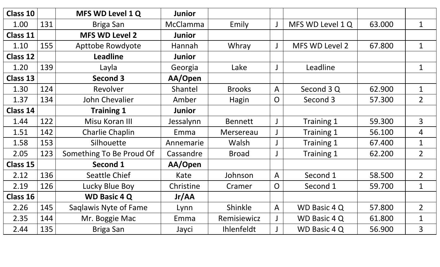| <b>Class 10</b> |     | MFS WD Level 1 Q         | <b>Junior</b> |                |                |                       |        |                |
|-----------------|-----|--------------------------|---------------|----------------|----------------|-----------------------|--------|----------------|
| 1.00            | 131 | Briga San                | McClamma      | Emily          | $\perp$        | MFS WD Level 1 Q      | 63.000 | $\mathbf 1$    |
| <b>Class 11</b> |     | <b>MFS WD Level 2</b>    | <b>Junior</b> |                |                |                       |        |                |
| 1.10            | 155 | <b>Apttobe Rowdyote</b>  | Hannah        | Whray          | J              | <b>MFS WD Level 2</b> | 67.800 | $\mathbf 1$    |
| <b>Class 12</b> |     | <b>Leadline</b>          | <b>Junior</b> |                |                |                       |        |                |
| 1.20            | 139 | Layla                    | Georgia       | Lake           |                | Leadline              |        | $\mathbf 1$    |
| <b>Class 13</b> |     | <b>Second 3</b>          | AA/Open       |                |                |                       |        |                |
| 1.30            | 124 | Revolver                 | Shantel       | <b>Brooks</b>  | $\overline{A}$ | Second 3 Q            | 62.900 | $\mathbf{1}$   |
| 1.37            | 134 | John Chevalier           | Amber         | Hagin          | O              | Second 3              | 57.300 | 2 <sup>1</sup> |
| <b>Class 14</b> |     | <b>Training 1</b>        | <b>Junior</b> |                |                |                       |        |                |
| 1.44            | 122 | Misu Koran III           | Jessalynn     | <b>Bennett</b> |                | Training 1            | 59.300 | 3 <sup>1</sup> |
| 1.51            | 142 | <b>Charlie Chaplin</b>   | Emma          | Mersereau      |                | Training 1            | 56.100 | 4              |
| 1.58            | 153 | Silhouette               | Annemarie     | Walsh          |                | Training 1            | 67.400 | $\mathbf 1$    |
| 2.05            | 123 | Something To Be Proud Of | Cassandre     | <b>Broad</b>   |                | Training 1            | 62.200 | 2 <sup>1</sup> |
| <b>Class 15</b> |     | <b>Second 1</b>          | AA/Open       |                |                |                       |        |                |
| 2.12            | 136 | <b>Seattle Chief</b>     | Kate          | Johnson        | $\overline{A}$ | Second 1              | 58.500 | $\overline{2}$ |
| 2.19            | 126 | Lucky Blue Boy           | Christine     | Cramer         | $\overline{O}$ | Second 1              | 59.700 | $\mathbf 1$    |
| <b>Class 16</b> |     | <b>WD Basic 4 Q</b>      | Jr/AA         |                |                |                       |        |                |
| 2.26            | 145 | Saqlawis Nyte of Fame    | Lynn          | Shinkle        | $\mathsf{A}$   | <b>WD Basic 4 Q</b>   | 57.800 | $\overline{2}$ |
| 2.35            | 144 | Mr. Boggie Mac           | Emma          | Remisiewicz    |                | WD Basic 4 Q          | 61.800 | $\mathbf{1}$   |
| 2.44            | 135 | <b>Briga San</b>         | Jayci         | Ihlenfeldt     |                | WD Basic 4 Q          | 56.900 | $\overline{3}$ |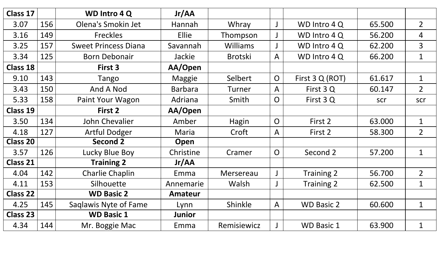| <b>Class 17</b> |     | <b>WD Intro 4 Q</b>         | Jr/AA          |                 |                |                   |        |                |
|-----------------|-----|-----------------------------|----------------|-----------------|----------------|-------------------|--------|----------------|
| 3.07            | 156 | Olena's Smokin Jet          | Hannah         | Whray           |                | WD Intro 4 Q      | 65.500 | $\overline{2}$ |
| 3.16            | 149 | <b>Freckles</b>             | <b>Ellie</b>   | Thompson        |                | WD Intro 4 Q      | 56.200 | 4              |
| 3.25            | 157 | <b>Sweet Princess Diana</b> | Savannah       | <b>Williams</b> |                | WD Intro 4 Q      | 62.200 | 3              |
| 3.34            | 125 | <b>Born Debonair</b>        | Jackie         | <b>Brotski</b>  | $\mathsf{A}$   | WD Intro 4 Q      | 66.200 | $\mathbf{1}$   |
| <b>Class 18</b> |     | First 3                     | AA/Open        |                 |                |                   |        |                |
| 9.10            | 143 | Tango                       | Maggie         | Selbert         | $\overline{O}$ | First 3 Q (ROT)   | 61.617 | $\mathbf{1}$   |
| 3.43            | 150 | And A Nod                   | <b>Barbara</b> | Turner          | $\mathsf{A}$   | First 3 Q         | 60.147 | $\overline{2}$ |
| 5.33            | 158 | Paint Your Wagon            | Adriana        | Smith           | O              | First 3 Q         | scr    | scr            |
| <b>Class 19</b> |     | First 2                     | AA/Open        |                 |                |                   |        |                |
| 3.50            | 134 | John Chevalier              | Amber          | Hagin           | $\overline{O}$ | First 2           | 63.000 | $\mathbf{1}$   |
| 4.18            | 127 | <b>Artful Dodger</b>        | Maria          | Croft           | $\mathsf{A}$   | First 2           | 58.300 | $\overline{2}$ |
| <b>Class 20</b> |     | Second 2                    | Open           |                 |                |                   |        |                |
| 3.57            | 126 | Lucky Blue Boy              | Christine      | Cramer          | $\overline{O}$ | Second 2          | 57.200 | $\mathbf 1$    |
| <b>Class 21</b> |     | <b>Training 2</b>           | Jr/AA          |                 |                |                   |        |                |
| 4.04            | 142 | <b>Charlie Chaplin</b>      | Emma           | Mersereau       |                | Training 2        | 56.700 | $\overline{2}$ |
| 4.11            | 153 | Silhouette                  | Annemarie      | Walsh           |                | Training 2        | 62.500 | $\mathbf 1$    |
| <b>Class 22</b> |     | <b>WD Basic 2</b>           | <b>Amateur</b> |                 |                |                   |        |                |
| 4.25            | 145 | Saglawis Nyte of Fame       | Lynn           | Shinkle         | $\mathsf{A}$   | <b>WD Basic 2</b> | 60.600 | $\mathbf{1}$   |
| <b>Class 23</b> |     | <b>WD Basic 1</b>           | <b>Junior</b>  |                 |                |                   |        |                |
| 4.34            | 144 | Mr. Boggie Mac              | Emma           | Remisiewicz     |                | <b>WD Basic 1</b> | 63.900 | $\mathbf{1}$   |